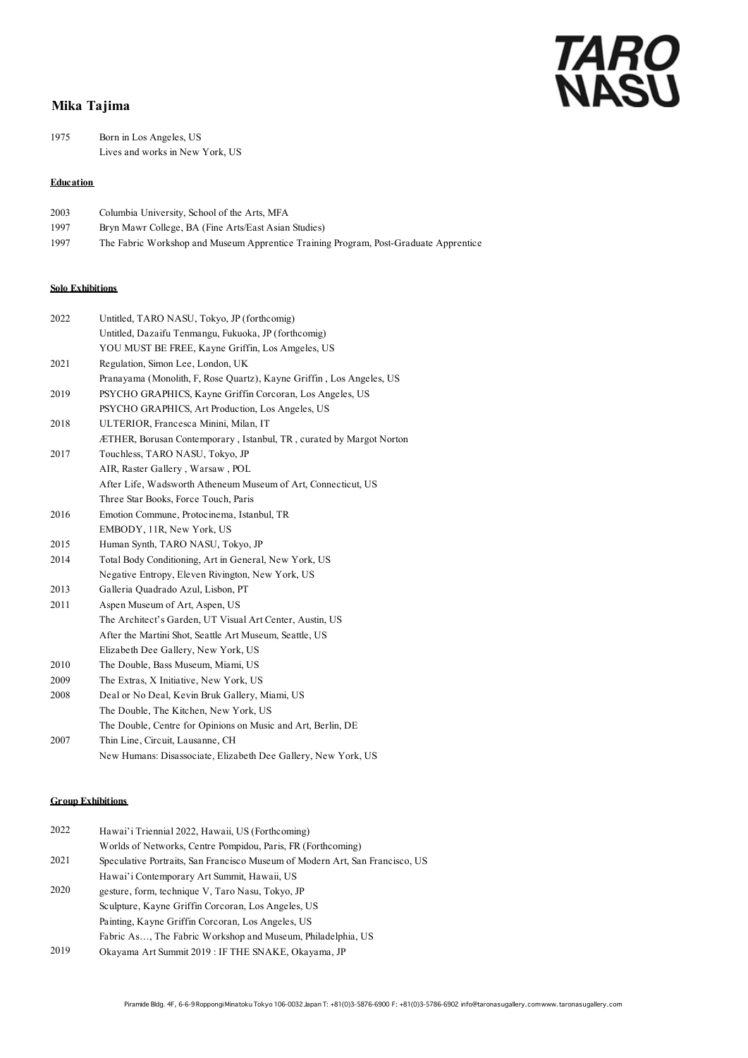# **Mika Tajima**

1975 Born in Los Angeles, US Lives and works in New York, US

## **Education**

| 2003 | Columbia University, School of the Arts, MFA                                         |
|------|--------------------------------------------------------------------------------------|
| 1997 | Bryn Mawr College, BA (Fine Arts/East Asian Studies)                                 |
| 1997 | The Fabric Workshop and Museum Apprentice Training Program, Post-Graduate Apprentice |

## **Solo Exhibitions**

| 2022 | Untitled, TARO NASU, Tokyo, JP (forthcomig)                          |
|------|----------------------------------------------------------------------|
|      | Untitled, Dazaifu Tenmangu, Fukuoka, JP (forthcomig)                 |
|      | YOU MUST BE FREE, Kayne Griffin, Los Amgeles, US                     |
| 2021 | Regulation, Simon Lee, London, UK                                    |
|      | Pranayama (Monolith, F, Rose Quartz), Kayne Griffin, Los Angeles, US |
| 2019 | PSYCHO GRAPHICS, Kayne Griffin Corcoran, Los Angeles, US             |
|      | PSYCHO GRAPHICS, Art Production, Los Angeles, US                     |
| 2018 | ULTERIOR, Francesca Minini, Milan, IT                                |
|      | ÆTHER, Borusan Contemporary, Istanbul, TR, curated by Margot Norton  |
| 2017 | Touchless, TARO NASU, Tokyo, JP                                      |
|      | AIR, Raster Gallery, Warsaw, POL                                     |
|      | After Life, Wadsworth Atheneum Museum of Art, Connecticut, US        |
|      | Three Star Books, Force Touch, Paris                                 |
| 2016 | Emotion Commune, Protocinema, Istanbul, TR                           |
|      | EMBODY, 11R, New York, US                                            |
| 2015 | Human Synth, TARO NASU, Tokyo, JP                                    |
| 2014 | Total Body Conditioning, Art in General, New York, US                |
|      | Negative Entropy, Eleven Rivington, New York, US                     |
| 2013 | Galleria Quadrado Azul, Lisbon, PT                                   |
| 2011 | Aspen Museum of Art, Aspen, US                                       |
|      | The Architect's Garden, UT Visual Art Center, Austin, US             |
|      | After the Martini Shot, Seattle Art Museum, Seattle, US              |
|      | Elizabeth Dee Gallery, New York, US                                  |
| 2010 | The Double, Bass Museum, Miami, US                                   |
| 2009 | The Extras, X Initiative, New York, US                               |
| 2008 | Deal or No Deal, Kevin Bruk Gallery, Miami, US                       |
|      | The Double, The Kitchen, New York, US                                |
|      | The Double, Centre for Opinions on Music and Art, Berlin, DE         |
| 2007 | Thin Line, Circuit, Lausanne, CH                                     |
|      | New Humans: Disassociate, Elizabeth Dee Gallery, New York, US        |

#### **Group Exhibitions**

| 2022 | Hawai'i Triennial 2022, Hawaii, US (Forthcoming)                             |
|------|------------------------------------------------------------------------------|
|      | Worlds of Networks, Centre Pompidou, Paris, FR (Forthcoming)                 |
| 2021 | Speculative Portraits, San Francisco Museum of Modern Art, San Francisco, US |
|      | Hawai'i Contemporary Art Summit, Hawaii, US                                  |
| 2020 | gesture, form, technique V, Taro Nasu, Tokyo, JP                             |
|      | Sculpture, Kayne Griffin Corcoran, Los Angeles, US                           |
|      | Painting, Kayne Griffin Corcoran, Los Angeles, US                            |
|      | Fabric As, The Fabric Workshop and Museum, Philadelphia, US                  |
| 2019 | Okayama Art Summit 2019 : IF THE SNAKE, Okayama, JP                          |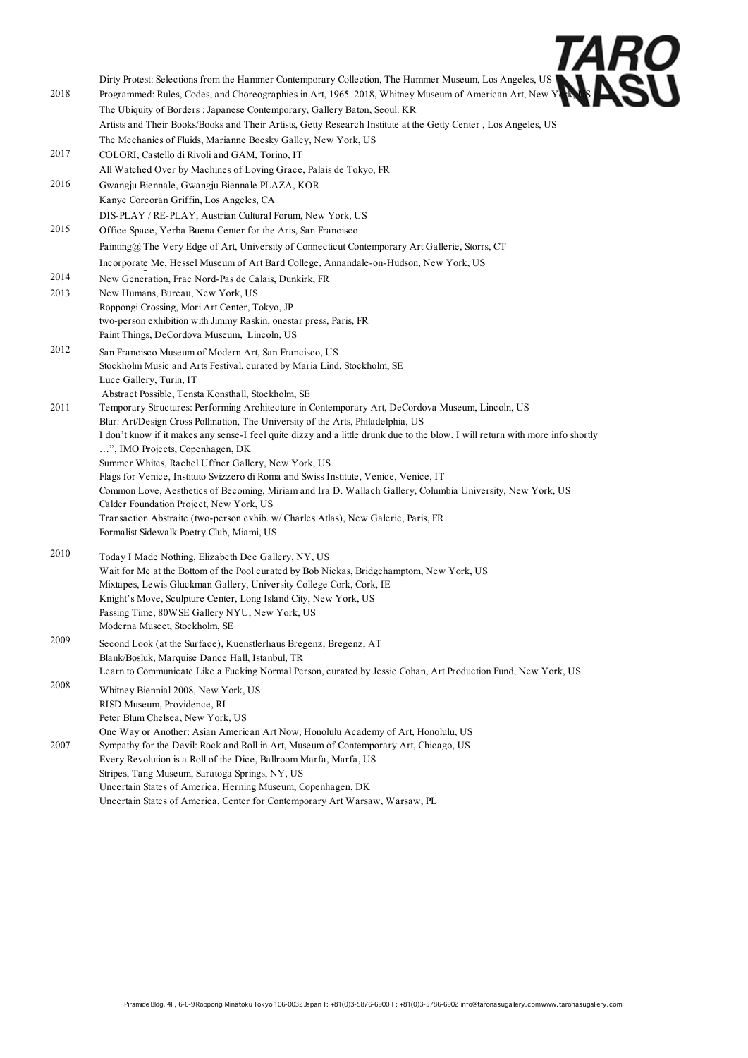Dirty Protest: Selections from the Hammer Contemporary Collection, The Hammer Museum, Los Angeles, US 2018 Programmed: Rules, Codes, and Choreographies in Art, 1965–2018, Whitney Museum of American Art, New York, The Ubiquity of Borders : Japanese Contemporary, Gallery Baton, Seoul. KR Artists and Their Books/Books and Their Artists, Getty Research Institute at the Getty Center , Los Angeles, US The Mechanics of Fluids, Marianne Boesky Galley, New York, US 2017 COLORI, Castello di Rivoli and GAM, Torino, IT All Watched Over by Machines of Loving Grace, Palais de Tokyo, FR 2016 Gwangju Biennale, Gwangju Biennale PLAZA, KOR Kanye Corcoran Griffin, Los Angeles, CA DIS-PLAY / RE-PLAY, Austrian Cultural Forum, New York, US 2015 Office Space, Yerba Buena Center for the Arts, San Francisco Painting@ The Very Edge of Art, University of Connecticut Contemporary Art Gallerie, Storrs, CT Incorporate Me, Hessel Museum of Art Bard College, Annandale-on-Hudson, New York, US 2014 New Generation, Frac Nord-Pas de Calais, Dunkirk, FR 2013 New Humans, Bureau, New York, US Roppongi Crossing, Mori Art Center, Tokyo, JP two-person exhibition with Jimmy Raskin, onestar press, Paris, FR Paint Things, DeCordova Museum, Lincoln, US 2012 San Francisco Museum of Modern Art, San Francisco, US Stockholm Music and Arts Festival, curated by Maria Lind, Stockholm, SE Luce Gallery, Turin, IT Abstract Possible, Tensta Konsthall, Stockholm, SE 2011 Temporary Structures: Performing Architecture in Contemporary Art, DeCordova Museum, Lincoln, US Blur: Art/Design Cross Pollination, The University of the Arts, Philadelphia, US I don't know if it makes any sense-I feel quite dizzy and a little drunk due to the blow. I will return with more info shortly …", IMO Projects, Copenhagen, DK Summer Whites, Rachel Uffner Gallery, New York, US Flags for Venice, Instituto Svizzero di Roma and Swiss Institute, Venice, Venice, IT Common Love, Aesthetics of Becoming, Miriam and Ira D. Wallach Gallery, Columbia University, New York, US Calder Foundation Project, New York, US Transaction Abstraite (two-person exhib. w/ Charles Atlas), New Galerie, Paris, FR Formalist Sidewalk Poetry Club, Miami, US 2010 Today I Made Nothing, Elizabeth Dee Gallery, NY, US Wait for Me at the Bottom of the Pool curated by Bob Nickas, Bridgehamptom, New York, US Mixtapes, Lewis Gluckman Gallery, University College Cork, Cork, IE Knight's Move, Sculpture Center, Long Island City, New York, US Passing Time, 80WSE Gallery NYU, New York, US Moderna Museet, Stockholm, SE 2009 Second Look (at the Surface), Kuenstlerhaus Bregenz, Bregenz, AT Blank/Bosluk, Marquise Dance Hall, Istanbul, TR Learn to Communicate Like a Fucking Normal Person, curated by Jessie Cohan, Art Production Fund, New York, US <sup>2008</sup> Whitney Biennial 2008, New York, US RISD Museum, Providence, RI Peter Blum Chelsea, New York, US One Way or Another: Asian American Art Now, Honolulu Academy of Art, Honolulu, US 2007 Sympathy for the Devil: Rock and Roll in Art, Museum of Contemporary Art, Chicago, US Every Revolution is a Roll of the Dice, Ballroom Marfa, Marfa, US Stripes, Tang Museum, Saratoga Springs, NY, US Uncertain States of America, Herning Museum, Copenhagen, DK Uncertain States of America, Center for Contemporary Art Warsaw, Warsaw, PL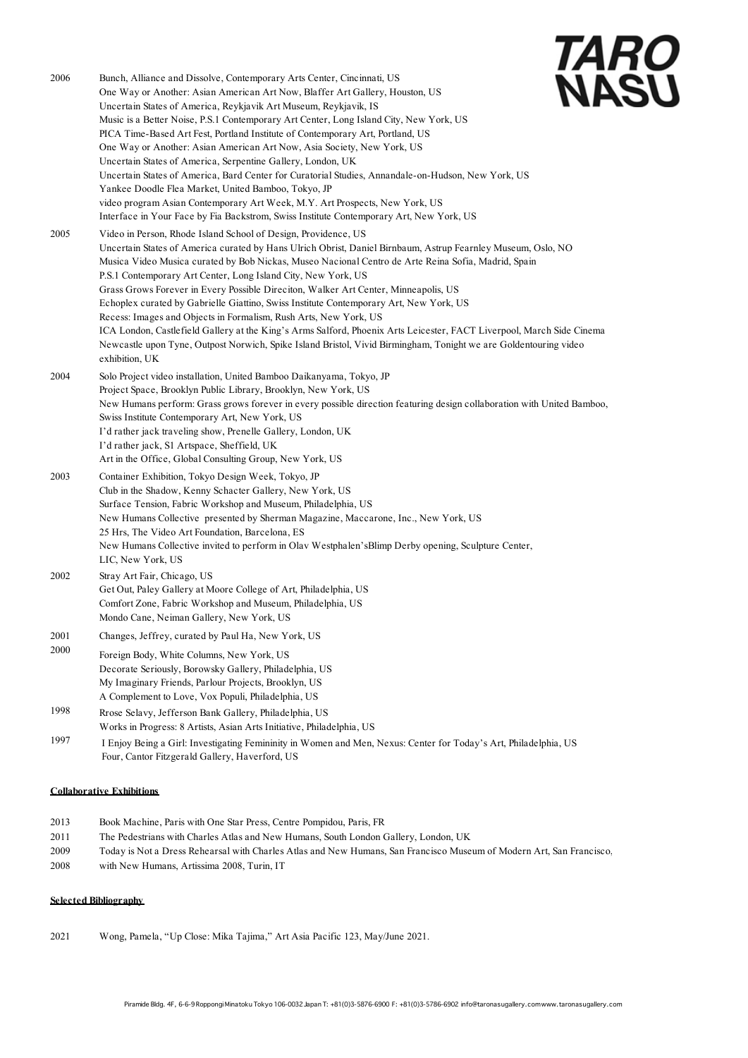

|              | One Way or Another: Asian American Art Now, Blaffer Art Gallery, Houston, US<br>Uncertain States of America, Reykjavik Art Museum, Reykjavik, IS<br>Music is a Better Noise, P.S.1 Contemporary Art Center, Long Island City, New York, US<br>PICA Time-Based Art Fest, Portland Institute of Contemporary Art, Portland, US<br>One Way or Another: Asian American Art Now, Asia Society, New York, US<br>Uncertain States of America, Serpentine Gallery, London, UK<br>Uncertain States of America, Bard Center for Curatorial Studies, Annandale-on-Hudson, New York, US<br>Yankee Doodle Flea Market, United Bamboo, Tokyo, JP<br>video program Asian Contemporary Art Week, M.Y. Art Prospects, New York, US<br>Interface in Your Face by Fia Backstrom, Swiss Institute Contemporary Art, New York, US                                                               |
|--------------|----------------------------------------------------------------------------------------------------------------------------------------------------------------------------------------------------------------------------------------------------------------------------------------------------------------------------------------------------------------------------------------------------------------------------------------------------------------------------------------------------------------------------------------------------------------------------------------------------------------------------------------------------------------------------------------------------------------------------------------------------------------------------------------------------------------------------------------------------------------------------|
| 2005         | Video in Person, Rhode Island School of Design, Providence, US<br>Uncertain States of America curated by Hans Ulrich Obrist, Daniel Birnbaum, Astrup Fearnley Museum, Oslo, NO<br>Musica Video Musica curated by Bob Nickas, Museo Nacional Centro de Arte Reina Sofia, Madrid, Spain<br>P.S.1 Contemporary Art Center, Long Island City, New York, US<br>Grass Grows Forever in Every Possible Direciton, Walker Art Center, Minneapolis, US<br>Echoplex curated by Gabrielle Giattino, Swiss Institute Contemporary Art, New York, US<br>Recess: Images and Objects in Formalism, Rush Arts, New York, US<br>ICA London, Castlefield Gallery at the King's Arms Salford, Phoenix Arts Leicester, FACT Liverpool, March Side Cinema<br>Newcastle upon Tyne, Outpost Norwich, Spike Island Bristol, Vivid Birmingham, Tonight we are Goldentouring video<br>exhibition, UK |
| 2004         | Solo Project video installation, United Bamboo Daikanyama, Tokyo, JP<br>Project Space, Brooklyn Public Library, Brooklyn, New York, US<br>New Humans perform: Grass grows forever in every possible direction featuring design collaboration with United Bamboo,<br>Swiss Institute Contemporary Art, New York, US<br>I'd rather jack traveling show, Prenelle Gallery, London, UK<br>I'd rather jack, S1 Artspace, Sheffield, UK<br>Art in the Office, Global Consulting Group, New York, US                                                                                                                                                                                                                                                                                                                                                                              |
| 2003         | Container Exhibition, Tokyo Design Week, Tokyo, JP<br>Club in the Shadow, Kenny Schacter Gallery, New York, US<br>Surface Tension, Fabric Workshop and Museum, Philadelphia, US<br>New Humans Collective presented by Sherman Magazine, Maccarone, Inc., New York, US<br>25 Hrs, The Video Art Foundation, Barcelona, ES<br>New Humans Collective invited to perform in Olav Westphalen's Blimp Derby opening, Sculpture Center,<br>LIC, New York, US                                                                                                                                                                                                                                                                                                                                                                                                                      |
| 2002         | Stray Art Fair, Chicago, US<br>Get Out, Paley Gallery at Moore College of Art, Philadelphia, US<br>Comfort Zone, Fabric Workshop and Museum, Philadelphia, US<br>Mondo Cane, Neiman Gallery, New York, US                                                                                                                                                                                                                                                                                                                                                                                                                                                                                                                                                                                                                                                                  |
| 2001<br>2000 | Changes, Jeffrey, curated by Paul Ha, New York, US<br>Foreign Body, White Columns, New York, US<br>Decorate Seriously, Borowsky Gallery, Philadelphia, US<br>My Imaginary Friends, Parlour Projects, Brooklyn, US<br>A Complement to Love, Vox Populi, Philadelphia, US                                                                                                                                                                                                                                                                                                                                                                                                                                                                                                                                                                                                    |
| 1998         | Rrose Selavy, Jefferson Bank Gallery, Philadelphia, US<br>Works in Progress: 8 Artists, Asian Arts Initiative, Philadelphia, US                                                                                                                                                                                                                                                                                                                                                                                                                                                                                                                                                                                                                                                                                                                                            |
| 1997         | I Enjoy Being a Girl: Investigating Femininity in Women and Men, Nexus: Center for Today's Art, Philadelphia, US<br>Four, Cantor Fitzgerald Gallery, Haverford, US                                                                                                                                                                                                                                                                                                                                                                                                                                                                                                                                                                                                                                                                                                         |
|              |                                                                                                                                                                                                                                                                                                                                                                                                                                                                                                                                                                                                                                                                                                                                                                                                                                                                            |

### **Collaborative Exhibitions**

2013 Book Machine, Paris with One Star Press, Centre Pompidou, Paris, FR

2006 Bunch, Alliance and Dissolve, Contemporary Arts Center, Cincinnati, US

- 2011 The Pedestrians with Charles Atlas and New Humans, South London Gallery, London, UK
- 2009 Today is Not a Dress Rehearsal with Charles Atlas and New Humans, San Francisco Museum of Modern Art, San Francisco,
- 2008 with New Humans, Artissima 2008, Turin, IT

# **Selected Bibliography**

2021 Wong, Pamela, "Up Close: Mika Tajima," Art Asia Pacific 123, May/June 2021.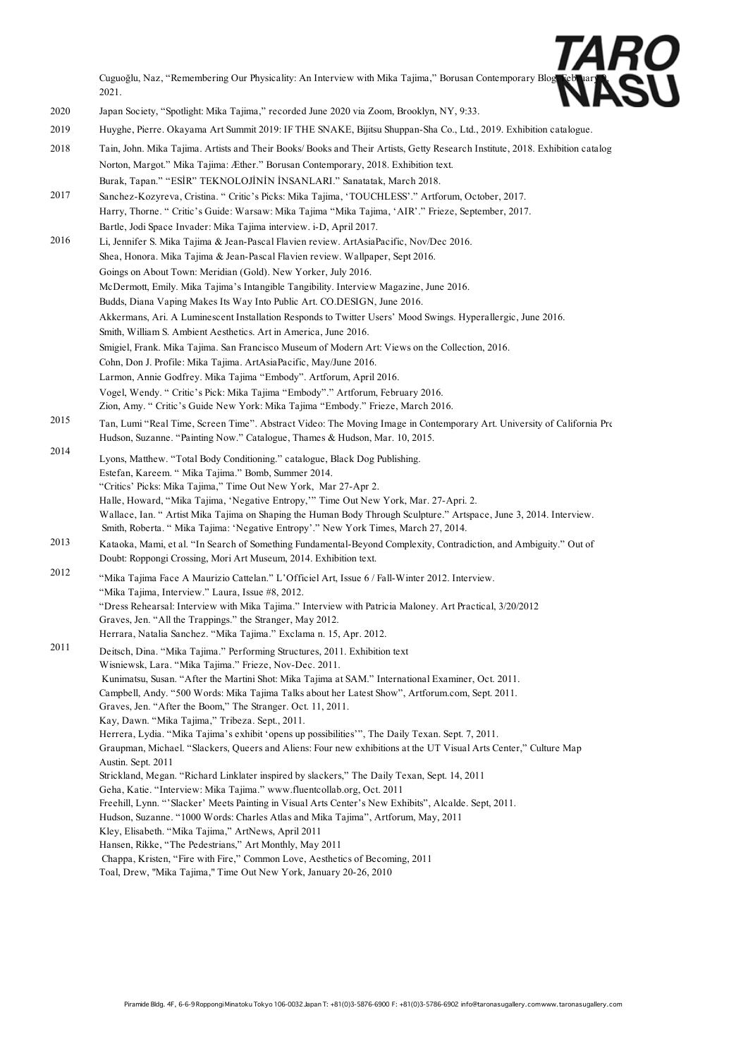

2021.

- 2020 Japan Society, "Spotlight: Mika Tajima," recorded June 2020 via Zoom, Brooklyn, NY, 9:33.
- 2019 Huyghe, Pierre. Okayama Art Summit 2019: IF THE SNAKE, Bijitsu Shuppan-Sha Co., Ltd., 2019. Exhibition catalogue.
- 2018 Tain, John. Mika Tajima. Artists and Their Books/Books and Their Artists. Getty Research Institute. 2018. Exhibition catalog Norton, Margot." Mika Tajima: Æther." Borusan Contemporary, 2018. Exhibition text. Burak, Tapan." "ESİR" TEKNOLOJİNİN İNSANLARI." Sanatatak, March 2018.
- 2017 Sanchez-Kozyreva, Cristina. " Critic's Picks: Mika Tajima, 'TOUCHLESS'." Artforum, October, 2017. Harry, Thorne. " Critic's Guide: Warsaw: Mika Tajima "Mika Tajima, 'AIR'." Frieze, September, 2017. Bartle, Jodi Space Invader: Mika Tajima interview. i-D, April 2017.
- 2016 Li, Jennifer S. Mika Tajima & Jean-Pascal Flavien review. ArtAsiaPacific, Nov/Dec 2016. Shea, Honora. Mika Tajima & Jean-Pascal Flavien review. Wallpaper, Sept 2016. Goings on About Town: Meridian (Gold). New Yorker, July 2016. McDermott, Emily. Mika Tajima's Intangible Tangibility. Interview Magazine, June 2016. Budds, Diana Vaping Makes Its Way Into Public Art. CO.DESIGN, June 2016. Akkermans, Ari. A Luminescent Installation Responds to Twitter Users' Mood Swings. Hyperallergic, June 2016. Smith, William S. Ambient Aesthetics. Art in America, June 2016. Smigiel, Frank. Mika Tajima. San Francisco Museum of Modern Art: Views on the Collection, 2016. Cohn, Don J. Profile: Mika Tajima. ArtAsiaPacific, May/June 2016. Larmon, Annie Godfrey. Mika Tajima "Embody". Artforum, April 2016. Vogel, Wendy. " Critic's Pick: Mika Tajima "Embody"." Artforum, February 2016. Zion, Amy. " Critic's Guide New York: Mika Tajima "Embody." Frieze, March 2016.
- 2015 Tan, Lumi "Real Time, Screen Time". Abstract Video: The Moving Image in Contemporary Art. University of California Pre Hudson, Suzanne. "Painting Now." Catalogue, Thames & Hudson, Mar. 10, 2015.
- 2014 Lyons, Matthew. "Total Body Conditioning." catalogue, Black Dog Publishing. Estefan, Kareem. " Mika Tajima." Bomb, Summer 2014. "Critics' Picks: Mika Tajima," Time Out New York, Mar 27-Apr 2. Halle, Howard, "Mika Tajima, 'Negative Entropy,'" Time Out New York, Mar. 27-Apri. 2. Wallace, Ian. " Artist Mika Tajima on Shaping the Human Body Through Sculpture." Artspace, June 3, 2014. Interview. Smith, Roberta. " Mika Tajima: 'Negative Entropy'." New York Times, March 27, 2014.
- 2013 Kataoka, Mami, et al. "In Search of Something Fundamental-Beyond Complexity, Contradiction, and Ambiguity." Out of Doubt: Roppongi Crossing, Mori Art Museum, 2014. Exhibition text.
- <sup>2012</sup> "Mika Tajima Face A Maurizio Cattelan." L'Officiel Art, Issue 6 / Fall-Winter 2012. Interview. "Mika Tajima, Interview." Laura, Issue #8, 2012. "Dress Rehearsal: Interview with Mika Tajima." Interview with Patricia Maloney. Art Practical, 3/20/2012 Graves, Jen. "All the Trappings." the Stranger, May 2012. Herrara, Natalia Sanchez. "Mika Tajima." Exclama n. 15, Apr. 2012.
- 2011 Deitsch, Dina. "Mika Tajima." Performing Structures, 2011. Exhibition text Wisniewsk, Lara. "Mika Tajima." Frieze, Nov-Dec. 2011. Kunimatsu, Susan. "After the Martini Shot: Mika Tajima at SAM." International Examiner, Oct. 2011. Campbell, Andy. "500 Words: Mika Tajima Talks about her Latest Show", Artforum.com, Sept. 2011. Graves, Jen. "After the Boom," The Stranger. Oct. 11, 2011. Kay, Dawn. "Mika Tajima," Tribeza. Sept., 2011. Herrera, Lydia. "Mika Tajima's exhibit 'opens up possibilities'", The Daily Texan. Sept. 7, 2011. Graupman, Michael. "Slackers, Queers and Aliens: Four new exhibitions at the UT Visual Arts Center," Culture Map Austin. Sept. 2011 Strickland, Megan. "Richard Linklater inspired by slackers," The Daily Texan, Sept. 14, 2011 Geha, Katie. "Interview: Mika Tajima." www.fluentcollab.org, Oct. 2011 Freehill, Lynn. "'Slacker' Meets Painting in Visual Arts Center's New Exhibits", Alcalde. Sept, 2011. Hudson, Suzanne. "1000 Words: Charles Atlas and Mika Tajima", Artforum, May, 2011 Kley, Elisabeth. "Mika Tajima," ArtNews, April 2011 Hansen, Rikke, "The Pedestrians," Art Monthly, May 2011 Chappa, Kristen, "Fire with Fire," Common Love, Aesthetics of Becoming, 2011 Toal, Drew, "Mika Tajima," Time Out New York, January 20-26, 2010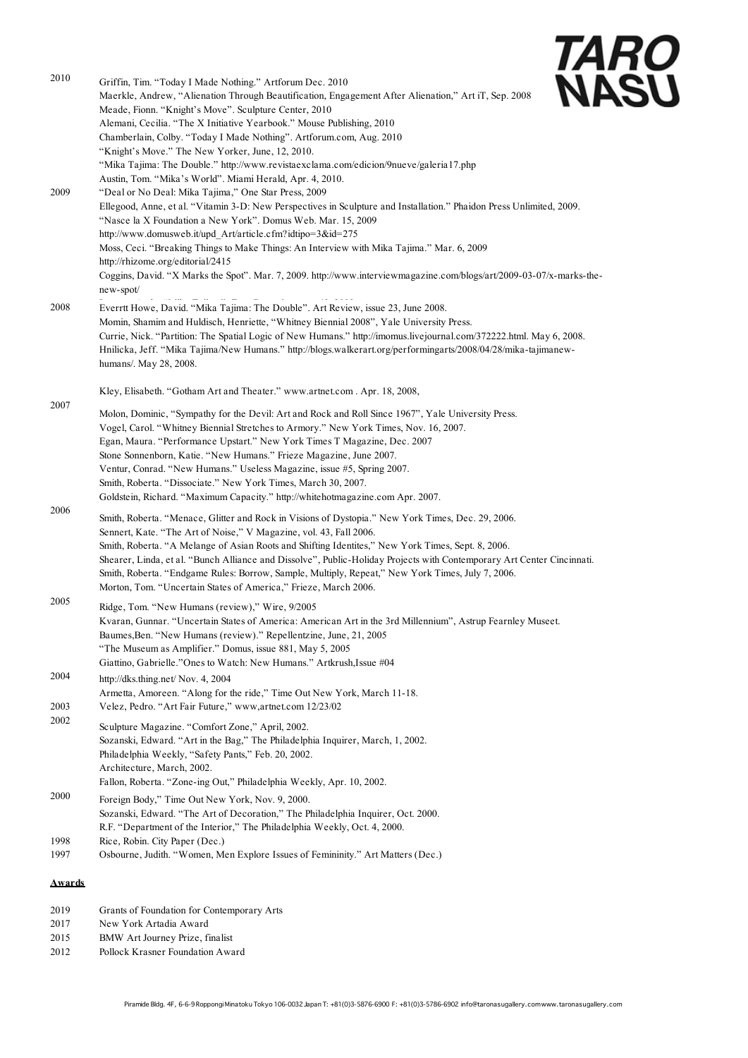

| 2010 | Griffin, Tim. "Today I Made Nothing." Artforum Dec. 2010                                                                                                                        |
|------|---------------------------------------------------------------------------------------------------------------------------------------------------------------------------------|
|      | Maerkle, Andrew, "Alienation Through Beautification, Engagement After Alienation," Art iT, Sep. 2008<br>Meade, Fionn. "Knight's Move". Sculpture Center, 2010                   |
|      | Alemani, Cecilia. "The X Initiative Yearbook." Mouse Publishing, 2010                                                                                                           |
|      | Chamberlain, Colby. "Today I Made Nothing". Artforum.com, Aug. 2010                                                                                                             |
|      | "Knight's Move." The New Yorker, June, 12, 2010.                                                                                                                                |
|      | "Mika Tajima: The Double." http://www.revistaexclama.com/edicion/9nueve/galeria17.php                                                                                           |
|      | Austin, Tom. "Mika's World". Miami Herald, Apr. 4, 2010.                                                                                                                        |
| 2009 | "Deal or No Deal: Mika Tajima," One Star Press, 2009<br>Ellegood, Anne, et al. "Vitamin 3-D: New Perspectives in Sculpture and Installation." Phaidon Press Unlimited, 2009.    |
|      | "Nasce la X Foundation a New York". Domus Web. Mar. 15, 2009                                                                                                                    |
|      | http://www.domusweb.it/upd Art/article.cfm?idtipo=3&id=275                                                                                                                      |
|      | Moss, Ceci. "Breaking Things to Make Things: An Interview with Mika Tajima." Mar. 6, 2009                                                                                       |
|      | http://rhizome.org/editorial/2415                                                                                                                                               |
|      | Coggins, David. "X Marks the Spot". Mar. 7, 2009. http://www.interviewmagazine.com/blogs/art/2009-03-07/x-marks-the-<br>$new$ -spot $\ell$                                      |
| 2008 | Everrtt Howe, David. "Mika Tajima: The Double". Art Review, issue 23, June 2008.                                                                                                |
|      | Momin, Shamim and Huldisch, Henriette, "Whitney Biennial 2008", Yale University Press.                                                                                          |
|      | Currie, Nick. "Partition: The Spatial Logic of New Humans." http://imomus.livejournal.com/372222.html. May 6, 2008.                                                             |
|      | Hnilicka, Jeff. "Mika Tajima/New Humans." http://blogs.walkerart.org/performingarts/2008/04/28/mika-tajimanew-                                                                  |
|      | humans/. May 28, 2008.                                                                                                                                                          |
|      | Kley, Elisabeth. "Gotham Art and Theater." www.artnet.com. Apr. 18, 2008,                                                                                                       |
| 2007 | Molon, Dominic, "Sympathy for the Devil: Art and Rock and Roll Since 1967", Yale University Press.                                                                              |
|      | Vogel, Carol. "Whitney Biennial Stretches to Armory." New York Times, Nov. 16, 2007.                                                                                            |
|      | Egan, Maura. "Performance Upstart." New York Times T Magazine, Dec. 2007                                                                                                        |
|      | Stone Sonnenborn, Katie. "New Humans." Frieze Magazine, June 2007.                                                                                                              |
|      | Ventur, Conrad. "New Humans." Useless Magazine, issue #5, Spring 2007.<br>Smith, Roberta. "Dissociate." New York Times, March 30, 2007.                                         |
|      | Goldstein, Richard. "Maximum Capacity." http://whitehotmagazine.com Apr. 2007.                                                                                                  |
| 2006 | Smith, Roberta. "Menace, Glitter and Rock in Visions of Dystopia." New York Times, Dec. 29, 2006.                                                                               |
|      | Sennert, Kate. "The Art of Noise," V Magazine, vol. 43, Fall 2006.                                                                                                              |
|      | Smith, Roberta. "A Melange of Asian Roots and Shifting Identites," New York Times, Sept. 8, 2006.                                                                               |
|      | Shearer, Linda, et al. "Bunch Alliance and Dissolve", Public-Holiday Projects with Contemporary Art Center Cincinnati.                                                          |
|      | Smith, Roberta. "Endgame Rules: Borrow, Sample, Multiply, Repeat," New York Times, July 7, 2006.                                                                                |
| 2005 | Morton, Tom. "Uncertain States of America," Frieze, March 2006.                                                                                                                 |
|      | Ridge, Tom. "New Humans (review)," Wire, 9/2005                                                                                                                                 |
|      | Kvaran, Gunnar. "Uncertain States of America: American Art in the 3rd Millennium", Astrup Fearnley Museet.<br>Baumes, Ben. "New Humans (review)." Repellentzine, June, 21, 2005 |
|      | "The Museum as Amplifier." Domus, issue 881, May 5, 2005                                                                                                                        |
|      | Giattino, Gabrielle."Ones to Watch: New Humans." Artkrush, Issue #04                                                                                                            |
| 2004 | http://dks.thing.net/ Nov. 4, 2004                                                                                                                                              |
|      | Armetta, Amoreen. "Along for the ride," Time Out New York, March 11-18.                                                                                                         |
| 2003 | Velez, Pedro. "Art Fair Future," www.artnet.com 12/23/02                                                                                                                        |
| 2002 | Sculpture Magazine. "Comfort Zone," April, 2002.                                                                                                                                |
|      | Sozanski, Edward. "Art in the Bag," The Philadelphia Inquirer, March, 1, 2002.                                                                                                  |
|      | Philadelphia Weekly, "Safety Pants," Feb. 20, 2002.<br>Architecture, March, 2002.                                                                                               |
|      | Fallon, Roberta. "Zone-ing Out," Philadelphia Weekly, Apr. 10, 2002.                                                                                                            |
| 2000 | Foreign Body," Time Out New York, Nov. 9, 2000.                                                                                                                                 |
|      | Sozanski, Edward. "The Art of Decoration," The Philadelphia Inquirer, Oct. 2000.                                                                                                |
|      | R.F. "Department of the Interior," The Philadelphia Weekly, Oct. 4, 2000.                                                                                                       |
| 1998 | Rice, Robin. City Paper (Dec.)                                                                                                                                                  |
| 1997 | Osbourne, Judith. "Women, Men Explore Issues of Femininity." Art Matters (Dec.)                                                                                                 |
|      |                                                                                                                                                                                 |

- **Awards**
- 2019 Grants of Foundation for Contemporary Arts
- 2017 New York Artadia Award
- 2015 BMW Art Journey Prize, finalist
- 2012 Pollock Krasner Foundation Award